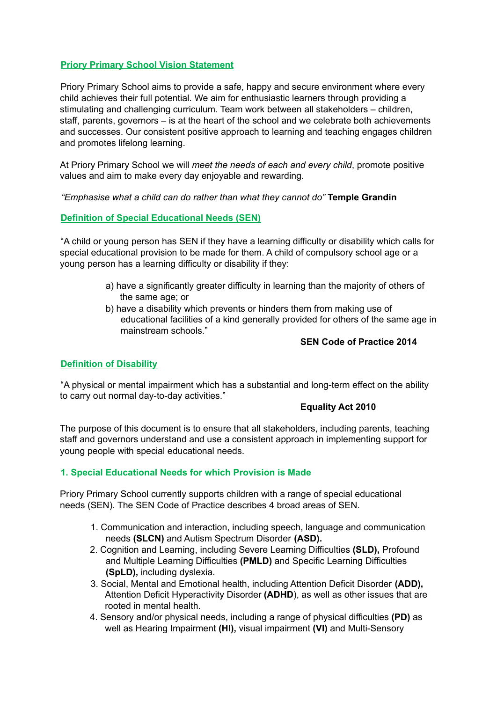# **Priory Primary School Vision Statement**

Priory Primary School aims to provide a safe, happy and secure environment where every child achieves their full potential. We aim for enthusiastic learners through providing a stimulating and challenging curriculum. Team work between all stakeholders – children, staff, parents, governors – is at the heart of the school and we celebrate both achievements and successes. Our consistent positive approach to learning and teaching engages children and promotes lifelong learning.

At Priory Primary School we will *meet the needs of each and every child*, promote positive values and aim to make every day enjoyable and rewarding.

*"Emphasise what a child can do rather than what they cannot do"* **Temple Grandin**

## **Definition of Special Educational Needs (SEN)**

"A child or young person has SEN if they have a learning difficulty or disability which calls for special educational provision to be made for them. A child of compulsory school age or a young person has a learning difficulty or disability if they:

- a) have a significantly greater difficulty in learning than the majority of others of the same age; or
- b) have a disability which prevents or hinders them from making use of educational facilities of a kind generally provided for others of the same age in mainstream schools."

#### **SEN Code of Practice 2014**

## **Definition of Disability**

"A physical or mental impairment which has a substantial and long-term effect on the ability to carry out normal day-to-day activities."

## **Equality Act 2010**

The purpose of this document is to ensure that all stakeholders, including parents, teaching staff and governors understand and use a consistent approach in implementing support for young people with special educational needs.

## **1. Special Educational Needs for which Provision is Made**

Priory Primary School currently supports children with a range of special educational needs (SEN). The SEN Code of Practice describes 4 broad areas of SEN.

- 1. Communication and interaction, including speech, language and communication needs **(SLCN)** and Autism Spectrum Disorder **(ASD).**
- 2. Cognition and Learning, including Severe Learning Difficulties **(SLD),** Profound and Multiple Learning Difficulties **(PMLD)** and Specific Learning Difficulties **(SpLD),** including dyslexia.
- 3. Social, Mental and Emotional health, including Attention Deficit Disorder **(ADD),** Attention Deficit Hyperactivity Disorder **(ADHD**), as well as other issues that are rooted in mental health.
- 4. Sensory and/or physical needs, including a range of physical difficulties **(PD)** as well as Hearing Impairment **(HI),** visual impairment **(VI)** and Multi-Sensory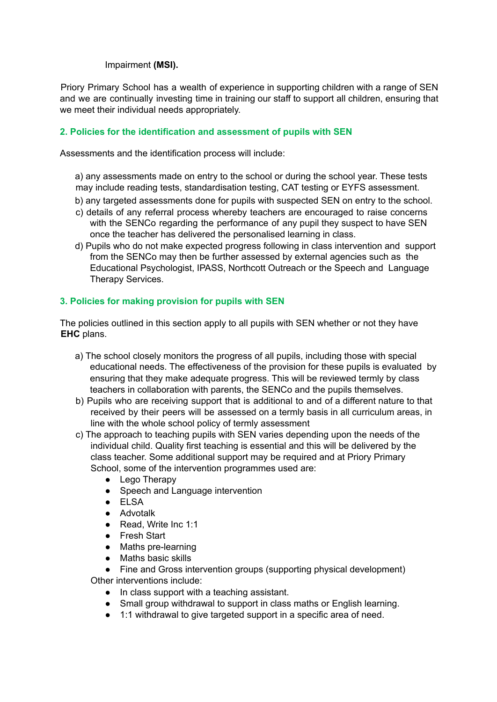Impairment **(MSI).**

Priory Primary School has a wealth of experience in supporting children with a range of SEN and we are continually investing time in training our staff to support all children, ensuring that we meet their individual needs appropriately.

## **2. Policies for the identification and assessment of pupils with SEN**

Assessments and the identification process will include:

a) any assessments made on entry to the school or during the school year. These tests may include reading tests, standardisation testing, CAT testing or EYFS assessment.

- b) any targeted assessments done for pupils with suspected SEN on entry to the school.
- c) details of any referral process whereby teachers are encouraged to raise concerns with the SENCo regarding the performance of any pupil they suspect to have SEN once the teacher has delivered the personalised learning in class.
- d) Pupils who do not make expected progress following in class intervention and support from the SENCo may then be further assessed by external agencies such as the Educational Psychologist, IPASS, Northcott Outreach or the Speech and Language Therapy Services.

## **3. Policies for making provision for pupils with SEN**

The policies outlined in this section apply to all pupils with SEN whether or not they have **EHC** plans.

- a) The school closely monitors the progress of all pupils, including those with special educational needs. The effectiveness of the provision for these pupils is evaluated by ensuring that they make adequate progress. This will be reviewed termly by class teachers in collaboration with parents, the SENCo and the pupils themselves.
- b) Pupils who are receiving support that is additional to and of a different nature to that received by their peers will be assessed on a termly basis in all curriculum areas, in line with the whole school policy of termly assessment
- c) The approach to teaching pupils with SEN varies depending upon the needs of the individual child. Quality first teaching is essential and this will be delivered by the class teacher. Some additional support may be required and at Priory Primary School, some of the intervention programmes used are:
	- Lego Therapy
	- Speech and Language intervention
	- ELSA
	- Advotalk
	- Read, Write Inc 1:1
	- Fresh Start
	- Maths pre-learning
	- Maths basic skills

• Fine and Gross intervention groups (supporting physical development) Other interventions include:

- In class support with a teaching assistant.
- Small group withdrawal to support in class maths or English learning.
- 1:1 withdrawal to give targeted support in a specific area of need.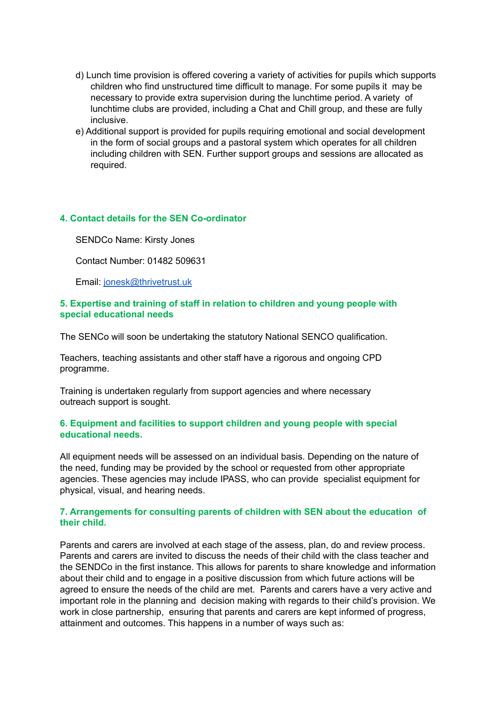- d) Lunch time provision is offered covering a variety of activities for pupils which supports children who find unstructured time difficult to manage. For some pupils it may be necessary to provide extra supervision during the lunchtime period. A variety of lunchtime clubs are provided, including a Chat and Chill group, and these are fully inclusive.
- e) Additional support is provided for pupils requiring emotional and social development in the form of social groups and a pastoral system which operates for all children including children with SEN. Further support groups and sessions are allocated as required.

## **4. Contact details for the SEN Co-ordinator**

SENDCo Name: Kirsty Jones

Contact Number: 01482 509631

Email: [jonesk@thrivetrust.uk](mailto:jonesk@thrivetrust.uk)

#### **5. Expertise and training of staff in relation to children and young people with special educational needs**

The SENCo will soon be undertaking the statutory National SENCO qualification.

Teachers, teaching assistants and other staff have a rigorous and ongoing CPD programme.

Training is undertaken regularly from support agencies and where necessary outreach support is sought.

#### **6. Equipment and facilities to support children and young people with special educational needs.**

All equipment needs will be assessed on an individual basis. Depending on the nature of the need, funding may be provided by the school or requested from other appropriate agencies. These agencies may include IPASS, who can provide specialist equipment for physical, visual, and hearing needs.

#### **7. Arrangements for consulting parents of children with SEN about the education of their child.**

Parents and carers are involved at each stage of the assess, plan, do and review process. Parents and carers are invited to discuss the needs of their child with the class teacher and the SENDCo in the first instance. This allows for parents to share knowledge and information about their child and to engage in a positive discussion from which future actions will be agreed to ensure the needs of the child are met. Parents and carers have a very active and important role in the planning and decision making with regards to their child's provision. We work in close partnership, ensuring that parents and carers are kept informed of progress, attainment and outcomes. This happens in a number of ways such as: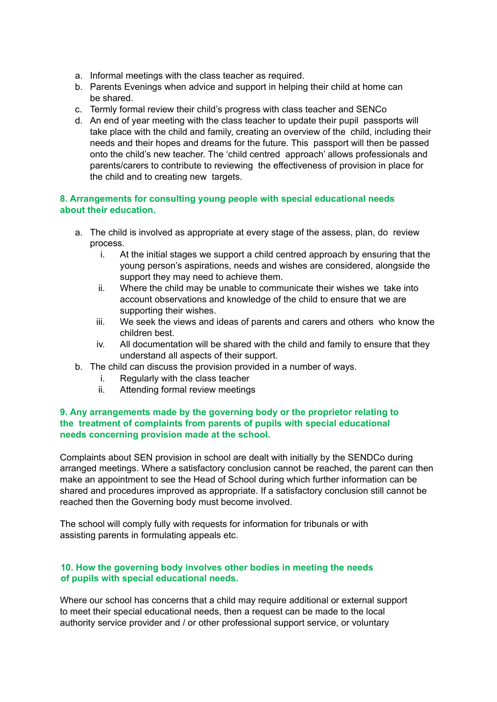- a. Informal meetings with the class teacher as required.
- b. Parents Evenings when advice and support in helping their child at home can be shared.
- c. Termly formal review their child's progress with class teacher and SENCo
- d. An end of year meeting with the class teacher to update their pupil passports will take place with the child and family, creating an overview of the child, including their needs and their hopes and dreams for the future. This passport will then be passed onto the child's new teacher. The 'child centred approach' allows professionals and parents/carers to contribute to reviewing the effectiveness of provision in place for the child and to creating new targets.

## **8. Arrangements for consulting young people with special educational needs about their education.**

- a. The child is involved as appropriate at every stage of the assess, plan, do review process.
	- i. At the initial stages we support a child centred approach by ensuring that the young person's aspirations, needs and wishes are considered, alongside the support they may need to achieve them.
	- ii. Where the child may be unable to communicate their wishes we take into account observations and knowledge of the child to ensure that we are supporting their wishes.
	- iii. We seek the views and ideas of parents and carers and others who know the children best.
	- iv. All documentation will be shared with the child and family to ensure that they understand all aspects of their support.
- b. The child can discuss the provision provided in a number of ways.
	- i. Regularly with the class teacher
	- ii. Attending formal review meetings

## **9. Any arrangements made by the governing body or the proprietor relating to the treatment of complaints from parents of pupils with special educational needs concerning provision made at the school.**

Complaints about SEN provision in school are dealt with initially by the SENDCo during arranged meetings. Where a satisfactory conclusion cannot be reached, the parent can then make an appointment to see the Head of School during which further information can be shared and procedures improved as appropriate. If a satisfactory conclusion still cannot be reached then the Governing body must become involved.

The school will comply fully with requests for information for tribunals or with assisting parents in formulating appeals etc.

## **10. How the governing body involves other bodies in meeting the needs of pupils with special educational needs.**

Where our school has concerns that a child may require additional or external support to meet their special educational needs, then a request can be made to the local authority service provider and / or other professional support service, or voluntary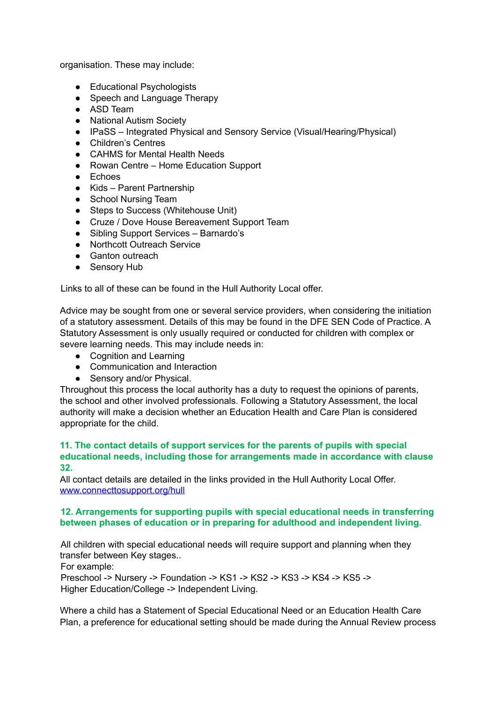organisation. These may include:

- Educational Psychologists
- Speech and Language Therapy
- ASD Team
- National Autism Society
- IPaSS Integrated Physical and Sensory Service (Visual/Hearing/Physical)
- Children's Centres
- CAHMS for Mental Health Needs
- Rowan Centre Home Education Support
- Echoes
- Kids Parent Partnership
- School Nursing Team
- Steps to Success (Whitehouse Unit)
- Cruze / Dove House Bereavement Support Team
- Sibling Support Services Barnardo's
- Northcott Outreach Service
- Ganton outreach
- Sensory Hub

Links to all of these can be found in the Hull Authority Local offer.

Advice may be sought from one or several service providers, when considering the initiation of a statutory assessment. Details of this may be found in the DFE SEN Code of Practice. A Statutory Assessment is only usually required or conducted for children with complex or severe learning needs. This may include needs in:

- Cognition and Learning
- Communication and Interaction
- Sensory and/or Physical.

Throughout this process the local authority has a duty to request the opinions of parents, the school and other involved professionals. Following a Statutory Assessment, the local authority will make a decision whether an Education Health and Care Plan is considered appropriate for the child.

#### **11. The contact details of support services for the parents of pupils with special educational needs, including those for arrangements made in accordance with clause 32.**

All contact details are detailed in the links provided in the Hull Authority Local Offer. www.connecttosupport.org/hull

## **12. Arrangements for supporting pupils with special educational needs in transferring between phases of education or in preparing for adulthood and independent living.**

All children with special educational needs will require support and planning when they transfer between Key stages..

For example:

Preschool -> Nursery -> Foundation -> KS1 -> KS2 -> KS3 -> KS4 -> KS5 -> Higher Education/College -> Independent Living.

Where a child has a Statement of Special Educational Need or an Education Health Care Plan, a preference for educational setting should be made during the Annual Review process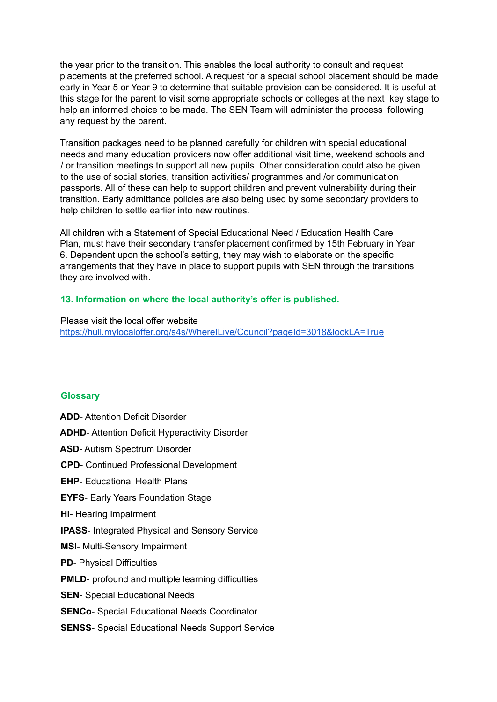the year prior to the transition. This enables the local authority to consult and request placements at the preferred school. A request for a special school placement should be made early in Year 5 or Year 9 to determine that suitable provision can be considered. It is useful at this stage for the parent to visit some appropriate schools or colleges at the next key stage to help an informed choice to be made. The SEN Team will administer the process following any request by the parent.

Transition packages need to be planned carefully for children with special educational needs and many education providers now offer additional visit time, weekend schools and / or transition meetings to support all new pupils. Other consideration could also be given to the use of social stories, transition activities/ programmes and /or communication passports. All of these can help to support children and prevent vulnerability during their transition. Early admittance policies are also being used by some secondary providers to help children to settle earlier into new routines.

All children with a Statement of Special Educational Need / Education Health Care Plan, must have their secondary transfer placement confirmed by 15th February in Year 6. Dependent upon the school's setting, they may wish to elaborate on the specific arrangements that they have in place to support pupils with SEN through the transitions they are involved with.

## **13. Information on where the local authority's offer is published.**

Please visit the local offer website <https://hull.mylocaloffer.org/s4s/WhereILive/Council?pageId=3018&lockLA=True>

## **Glossary**

**ADD**- Attention Deficit Disorder **ADHD**- Attention Deficit Hyperactivity Disorder **ASD**- Autism Spectrum Disorder **CPD**- Continued Professional Development **EHP**- Educational Health Plans **EYFS-** Early Years Foundation Stage **HI**- Hearing Impairment **IPASS**- Integrated Physical and Sensory Service **MSI**- Multi-Sensory Impairment **PD**- Physical Difficulties **PMLD**- profound and multiple learning difficulties **SEN**- Special Educational Needs **SENCo**- Special Educational Needs Coordinator **SENSS**- Special Educational Needs Support Service